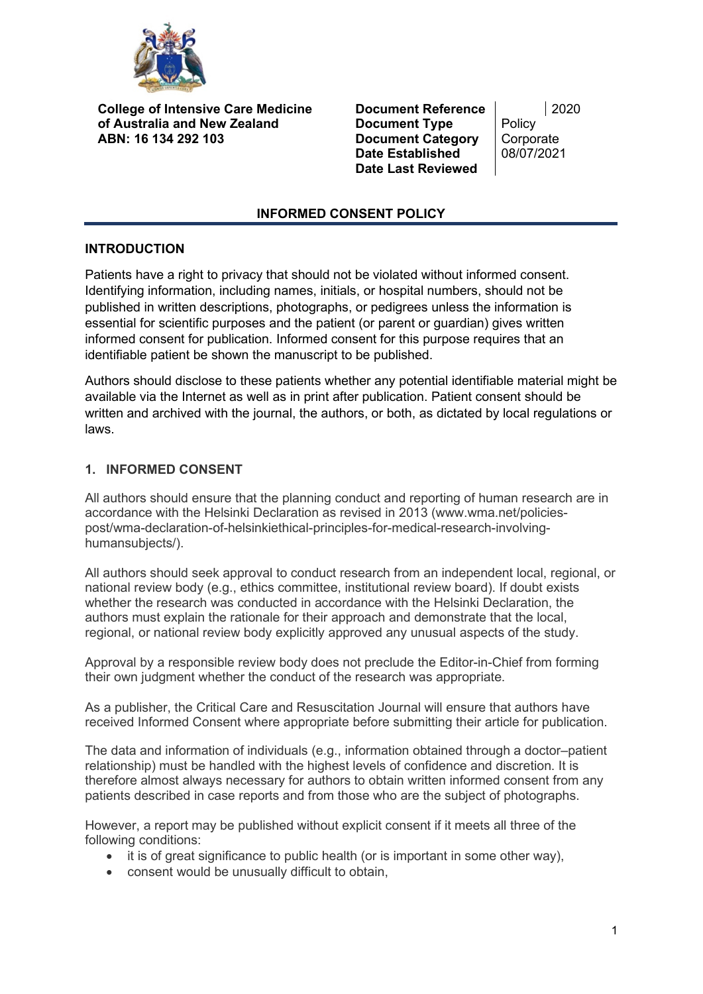

**College of Intensive Care Medicine of Australia and New Zealand ABN: 16 134 292 103**

**Document Reference** | 2020<br> **Document Type** | Policy **Document Type** Policy<br> **Document Category** Corporate **Document Category** Corporate<br>
Date Established 08/07/2021 **Date Established Date Last Reviewed**

### **INFORMED CONSENT POLICY**

## **INTRODUCTION**

Patients have a right to privacy that should not be violated without informed consent. Identifying information, including names, initials, or hospital numbers, should not be published in written descriptions, photographs, or pedigrees unless the information is essential for scientific purposes and the patient (or parent or guardian) gives written informed consent for publication. Informed consent for this purpose requires that an identifiable patient be shown the manuscript to be published.

Authors should disclose to these patients whether any potential identifiable material might be available via the Internet as well as in print after publication. Patient consent should be written and archived with the journal, the authors, or both, as dictated by local regulations or laws.

# **1. INFORMED CONSENT**

All authors should ensure that the planning conduct and reporting of human research are in accordance with the Helsinki Declaration as revised in 2013 (www.wma.net/policiespost/wma-declaration-of-helsinkiethical-principles-for-medical-research-involvinghumansubjects/).

All authors should seek approval to conduct research from an independent local, regional, or national review body (e.g., ethics committee, institutional review board). If doubt exists whether the research was conducted in accordance with the Helsinki Declaration, the authors must explain the rationale for their approach and demonstrate that the local, regional, or national review body explicitly approved any unusual aspects of the study.

Approval by a responsible review body does not preclude the Editor-in-Chief from forming their own judgment whether the conduct of the research was appropriate.

As a publisher, the Critical Care and Resuscitation Journal will ensure that authors have received Informed Consent where appropriate before submitting their article for publication.

The data and information of individuals (e.g., information obtained through a doctor–patient relationship) must be handled with the highest levels of confidence and discretion. It is therefore almost always necessary for authors to obtain written informed consent from any patients described in case reports and from those who are the subject of photographs.

However, a report may be published without explicit consent if it meets all three of the following conditions:

- it is of great significance to public health (or is important in some other way),
- consent would be unusually difficult to obtain,